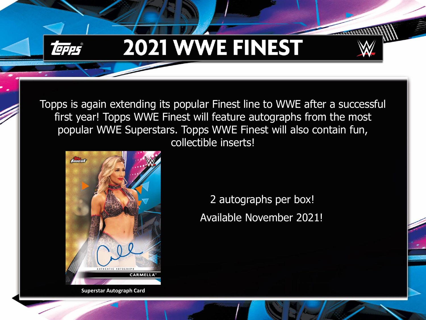

Topps is again extending its popular Finest line to WWE after a successful first year! Topps WWE Finest will feature autographs from the most popular WWE Superstars. Topps WWE Finest will also contain fun, collectible inserts!



**Superstar Autograph Card**

Available November 2021! 2 autographs per box!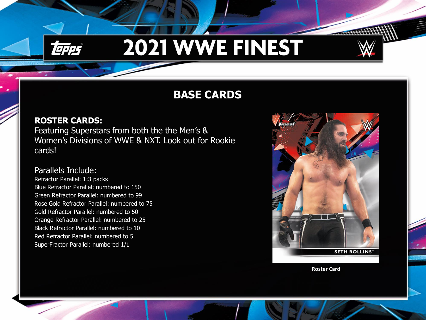

### **BASE CARDS**

#### **ROSTER CARDS:**

Featuring Superstars from both the the Men's & Women's Divisions of WWE & NXT. Look out for Rookie cards!

#### Parallels Include:

Refractor Parallel: 1:3 packs Blue Refractor Parallel: numbered to 150 Green Refractor Parallel: numbered to 99 Rose Gold Refractor Parallel: numbered to 75 Gold Refractor Parallel: numbered to 50 Orange Refractor Parallel: numbered to 25 Black Refractor Parallel: numbered to 10 Red Refractor Parallel: numbered to 5 SuperFractor Parallel: numbered 1/1



**Roster Card**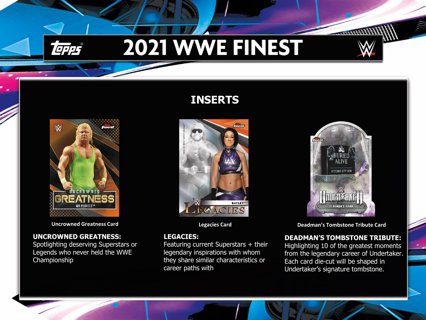



#### **UNCROWNED GREATNESS:**

Spotlighting deserving Superstars or Legends who never held the WWE Championship

### **INSERTS**



#### **LEGACIES:**

Featuring current Superstars + their legendary inspirations with whom they share similar characteristics or career paths with



**Uncrowned Greatness Card Legacies Card Deadman's Tombstone Tribute Card**

#### **DEADMAN'S TOMBSTONE TRIBUTE:**

Highlighting 10 of the greatest moments from the legendary career of Undertaker. Each card die-cut will be shaped in Undertaker's signature tombstone.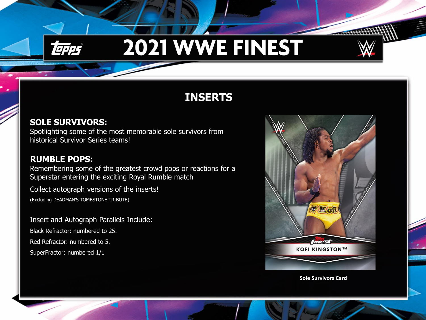

### **INSERTS**

#### **SOLE SURVIVORS:**

Spotlighting some of the most memorable sole survivors from historical Survivor Series teams!

#### **RUMBLE POPS:**

Remembering some of the greatest crowd pops or reactions for a Superstar entering the exciting Royal Rumble match

Collect autograph versions of the inserts!

(Excluding DEADMAN'S TOMBSTONE TRIBUTE)

Insert and Autograph Parallels Include: Black Refractor: numbered to 25. Red Refractor: numbered to 5. SuperFractor: numbered 1/1



**Sole Survivors Card**